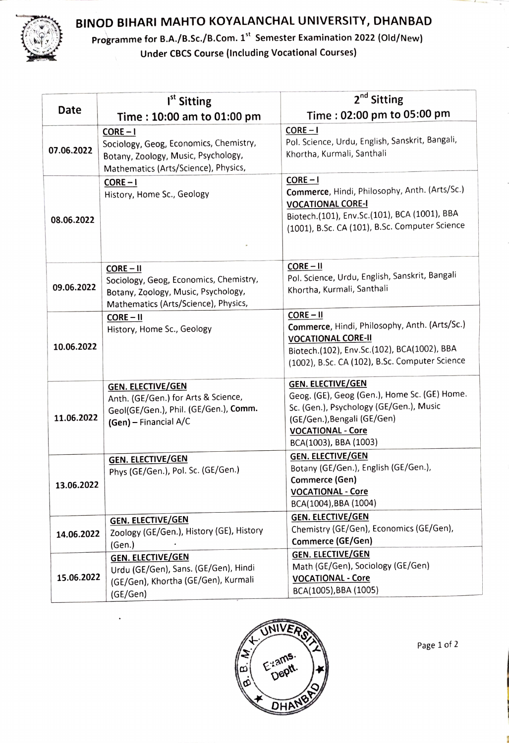

## BINOD BIHARI MAHTO KOYALANCHAL UNIVERSITY, DHANBAD

Programme for B.A./B.Sc./B.Com. 1<sup>st</sup> Semester Examination 2022 (Old/New) Under CBCS Course (Including Vocational Courses)

|            | I <sup>st</sup> Sitting                                                                                                              | 2 <sup>nd</sup> Sitting                                                                                                                                                                   |
|------------|--------------------------------------------------------------------------------------------------------------------------------------|-------------------------------------------------------------------------------------------------------------------------------------------------------------------------------------------|
| Date       | Time: 10:00 am to 01:00 pm                                                                                                           | Time: 02:00 pm to 05:00 pm                                                                                                                                                                |
|            | $CORE - I$                                                                                                                           | $CORE - I$<br>Pol. Science, Urdu, English, Sanskrit, Bangali,                                                                                                                             |
| 07.06.2022 | Sociology, Geog, Economics, Chemistry,<br>Botany, Zoology, Music, Psychology,<br>Mathematics (Arts/Science), Physics,                | Khortha, Kurmali, Santhali                                                                                                                                                                |
| 08.06.2022 | $CORE - I$<br>History, Home Sc., Geology                                                                                             | $CORE - I$<br>Commerce, Hindi, Philosophy, Anth. (Arts/Sc.)<br><b>VOCATIONAL CORE-I</b><br>Biotech.(101), Env.Sc.(101), BCA (1001), BBA<br>(1001), B.Sc. CA (101), B.Sc. Computer Science |
| 09.06.2022 | $CORE - II$<br>Sociology, Geog, Economics, Chemistry,<br>Botany, Zoology, Music, Psychology,<br>Mathematics (Arts/Science), Physics, | $CORE - II$<br>Pol. Science, Urdu, English, Sanskrit, Bangali<br>Khortha, Kurmali, Santhali                                                                                               |
| 10.06.2022 | $CORE - II$                                                                                                                          | $CORE - II$                                                                                                                                                                               |
|            | History, Home Sc., Geology                                                                                                           | Commerce, Hindi, Philosophy, Anth. (Arts/Sc.)<br><b>VOCATIONAL CORE-II</b><br>Biotech.(102), Env.Sc.(102), BCA(1002), BBA<br>(1002), B.Sc. CA (102), B.Sc. Computer Science               |
| 11.06.2022 | <b>GEN. ELECTIVE/GEN</b>                                                                                                             | <b>GEN. ELECTIVE/GEN</b>                                                                                                                                                                  |
|            | Anth. (GE/Gen.) for Arts & Science,<br>Geol(GE/Gen.), Phil. (GE/Gen.), Comm.                                                         | Geog. (GE), Geog (Gen.), Home Sc. (GE) Home.<br>Sc. (Gen.), Psychology (GE/Gen.), Music<br>(GE/Gen.), Bengali (GE/Gen)                                                                    |
|            | (Gen) - Financial A/C                                                                                                                | <b>VOCATIONAL - Core</b><br>BCA(1003), BBA (1003)                                                                                                                                         |
| 13.06.2022 | <b>GEN. ELECTIVE/GEN</b><br>Phys (GE/Gen.), Pol. Sc. (GE/Gen.)                                                                       | <b>GEN. ELECTIVE/GEN</b><br>Botany (GE/Gen.), English (GE/Gen.),<br>Commerce (Gen)                                                                                                        |
|            |                                                                                                                                      | <b>VOCATIONAL - Core</b><br>BCA(1004), BBA (1004)                                                                                                                                         |
| 14.06.2022 | <b>GEN. ELECTIVE/GEN</b><br>Zoology (GE/Gen.), History (GE), History<br>(Gen.)                                                       | <b>GEN. ELECTIVE/GEN</b><br>Chemistry (GE/Gen), Economics (GE/Gen),<br>Commerce (GE/Gen)                                                                                                  |
| 15.06.2022 | <b>GEN. ELECTIVE/GEN</b><br>Urdu (GE/Gen), Sans. (GE/Gen), Hindi<br>(GE/Gen), Khortha (GE/Gen), Kurmali<br>(GE/Gen)                  | <b>GEN. ELECTIVE/GEN</b><br>Math (GE/Gen), Sociology (GE/Gen)<br><b>VOCATIONAL - Core</b><br>BCA(1005), BBA (1005)                                                                        |



Page 1 of 2